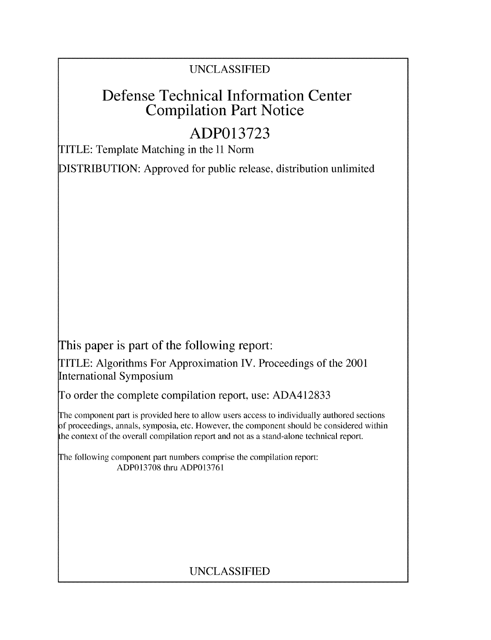## UNCLASSIFIED

# Defense Technical Information Center Compilation Part Notice

# **ADP013723**

TITLE: Template Matching in the 11 Norm

DISTRIBUTION: Approved for public release, distribution unlimited

This paper is part of the following report:

TITLE: Algorithms For Approximation IV. Proceedings of the 2001 International Symposium

To order the complete compilation report, use: ADA412833

The component part is provided here to allow users access to individually authored sections f proceedings, annals, symposia, etc. However, the component should be considered within the context of the overall compilation report and not as a stand-alone technical report.

The following component part numbers comprise the compilation report: ADP013708 thru ADP013761

## UNCLASSIFIED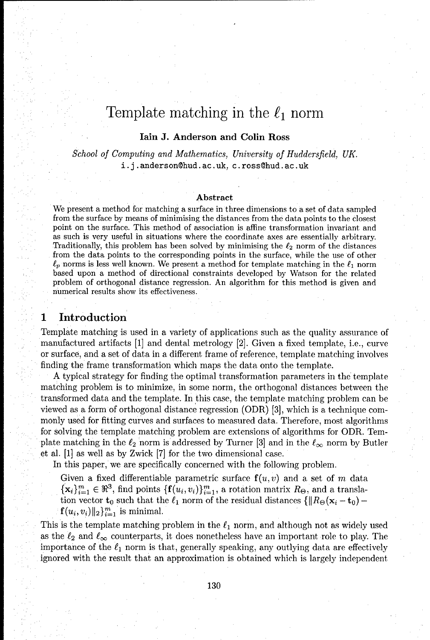## Template matching in the  $\ell_1$  norm

### lain **J.** Anderson and Colin Ross

*School of* Computing and *Mathematics, University of Huddersfield, UK.* i.j.anderson~hud.ac.uk, c.ross@hud.ac.uk

#### Abstract

We present a method for matching a surface in three dimensions to a set of data sampled from the surface by means of minimising the distances from the data points to the closest point on the surface. This method of association is affine transformation invariant and as such is very useful in situations where the coordinate axes are essentially arbitrary. Traditionally, this problem has been solved by minimising the  $\ell_2$  norm of the distances from the data points to the corresponding points in the surface, while the use of other  $\ell_p$  norms is less well known. We present a method for template matching in the  $\ell_1$  norm based upon a method of directional constraints developed by Watson for the related problem of orthogonal distance regression. An algorithm for this method is given and numerical results show its effectiveness.

## **1** Introduction

Template matching is used in a variety of applications such as the quality assurance of manufactured artifacts [11 and dental metrology [2]. Given a fixed template, i.e., curve or surface, and a set of data in a different frame of reference, template matching involves finding the frame transformation which maps the data onto the template.

A typical strategy for finding the optimal transformation parameters in the template matching problem is to minimize, in some norm, the orthogonal distances between the transformed data and the template. In this case, the template matching problem can be viewed as a form of orthogonal distance regression (ODR) [3], which is a technique commonly used for fitting curves and surfaces to measured data. Therefore, most algorithms for solving the template matching problem are extensions of algorithms for ODR. Template matching in the  $\ell_2$  norm is addressed by Turner [3] and in the  $\ell_{\infty}$  norm by Butler et al. [1] as well as by Zwick [7] for the two dimensional case.

In this paper, we are specifically concerned with the following problem.

Given a fixed differentiable parametric surface  $f(u, v)$  and a set of m data  ${x_i}_{i=1}^m \in \mathbb{R}^3$ , find points  ${f(u_i, v_i)}_{i=1}^m$ , a rotation matrix  $R_{\Theta}$ , and a translation vector  $\mathbf{t}_0$  such that the  $\ell_1$  norm of the residual distances  $\{\|R_{\Theta}(\mathbf{x}_i - \mathbf{t}_0) \mathbf{f}(u_i,v_i)\|_2\}_{i=1}^m$  is minimal.

This is the template matching problem in the  $\ell_1$  norm, and although not as widely used as the  $\ell_2$  and  $\ell_\infty$  counterparts, it does nonetheless have an important role to play. The importance of the  $\ell_1$  norm is that, generally speaking, any outlying data are effectively ignored with the result that an approximation is obtained which is largely independent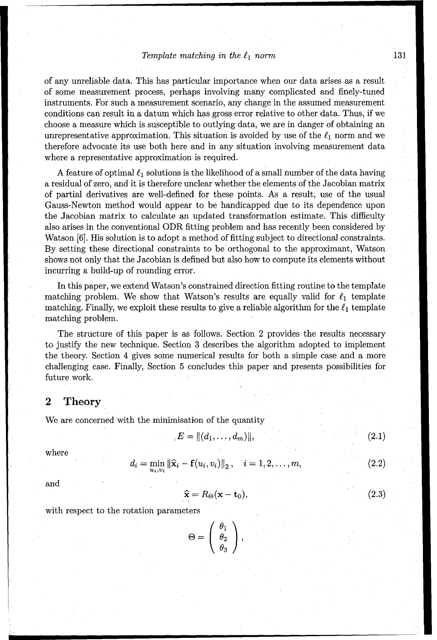### Template matching in the  $\ell_1$  norm 131

of any unreliable data. This has particular importance when our data arises as a result of some measurement process, perhaps involving many complicated and finely-tuned instruments. For such a measurement scenario, any change in the assumed measurement conditions can result in a datum which has gross error relative to other data. Thus, if we choose a measure which is susceptible to outlying data, we are in danger of obtaining an unrepresentative approximation. This situation is avoided by use of the  $\ell_1$  norm and we therefore advocate its use both here and in any situation involving measurement data where a representative approximation is required.

A feature of optimal  $\ell_1$  solutions is the likelihood of a small number of the data having a residual of zero, and it is therefore unclear whether the elements of the Jacobian matrix of partial derivatives are well-defined for these points. As a result, use of the usual Gauss-Newton method would appear to be handicapped due to its dependence upon the Jacobian matrix to calculate an updated transformation estimate. This difficulty also arises in the conventional ODR fitting problem and has recently been considered by Watson [6]. His solution is to adopt a method of fitting subject to directional constraints. By setting these directional constraints to be orthogonal to the approximant, Watson shows not only that the Jacobian is defined but also how to compute its elements without incurring a build-up of rounding error.

In this paper, we extend Watson's constrained direction fitting routine to the template matching problem. We show that Watson's results are equally valid for  $\ell_1$  template matching. Finally, we exploit these results to give a reliable algorithm for the  $\ell_1$  template matching problem.

The structure of this paper is as follows. Section 2 provides the results necessary to justify the new technique. Section 3 describes the algorithm adopted to implement the theory. Section 4 gives some numerical results for both a simple case and a more challenging case. Finally, Section 5 concludes this paper and presents possibilities for future work.

## 2 Theory

We are concerned with the minimisation of the quantity

$$
E = || (d_1, \ldots, d_m) ||,
$$
 (2.1)

where

$$
d_i = \min_{u_i, v_i} \|\widehat{\mathbf{x}}_i - \mathbf{f}(u_i, v_i)\|_2, \quad i = 1, 2, \dots, m,
$$
 (2.2)

and

$$
\widehat{\mathbf{x}} = R_{\Theta}(\mathbf{x} - \mathbf{t}_0),\tag{2.3}
$$

with respect to the rotation parameters

$$
\Theta = \left(\begin{array}{c} \theta_1 \\ \theta_2 \\ \theta_3 \end{array}\right),
$$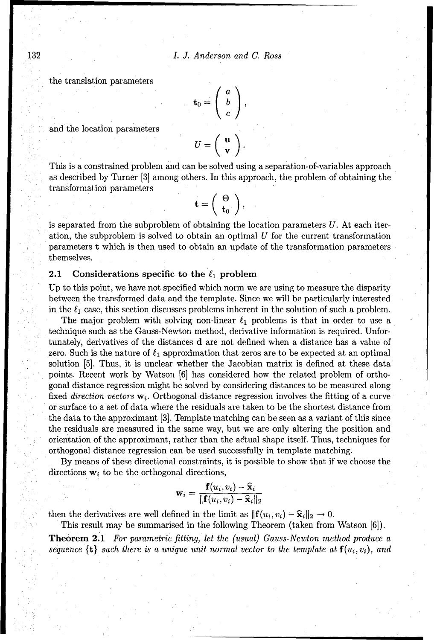$I. \,\, J. \,\, Anderson \,\, and$  the translation parameters  $\left(\begin{array}{c} a \end{array}\right)$ 

and the location parameters

$$
\mathbf{t}_0 = \left( \begin{array}{c} a \\ b \\ c \end{array} \right),
$$
  

$$
U = \left( \begin{array}{c} \mathbf{u} \\ \mathbf{v} \end{array} \right).
$$

This is a constrained problem and can be solved using a separation-of-variables approach as described by Turner [3] among others. In this approach, the problem of obtaining the transformation parameters

$$
\mathbf{t} = \left(\begin{array}{c} \Theta \\ \mathbf{t}_0 \end{array}\right),
$$

is separated from the subproblem of obtaining the location parameters  $U$ . At each iteration, the subproblem is solved to obtain an optimal  $U$  for the current transformation parameters t which is then used to obtain an update of the transformation parameters themselves.

#### 2.1 Considerations specific to the  $\ell_1$  problem

Up to this point, we have not specified which norm we are using to measure the disparity between the transformed data and the template. Since we will be particularly interested in the  $\ell_1$  case, this section discusses problems inherent in the solution of such a problem.

The major problem with solving non-linear  $\ell_1$  problems is that in order to use a technique such as the Gauss-Newton method, derivative information is required. Unfortunately, derivatives of the distances d are not defined when a distance has a value of zero. Such is the nature of  $\ell_1$  approximation that zeros are to be expected at an optimal solution [5]. Thus, it is unclear whether the Jacobian matrix is defined at these data points. Recent work by Watson [6] has considered how the related problem of orthogonal distance regression might be solved by considering distances to be measured along fixed direction vectors  $\mathbf{w}_i$ . Orthogonal distance regression involves the fitting of a curve or surface to a set of data where the residuals are taken to be the shortest distance from the data to the approximant **[3].** Template matching can be seen as a variant of this since the residuals are measured in the same way, but we are only altering the position and orientation of the approximant, rather than the actual shape itself. Thus, techniques for orthogonal distance regression can be used successfully in template matching.

By means of these directional constraints, it is possible to show that if we choose the directions  $w_i$  to be the orthogonal directions,

$$
\mathbf{w}_i = \frac{\mathbf{f}(u_i, v_i) - \mathbf{\hat{x}}_i}{\|\mathbf{f}(u_i, v_i) - \mathbf{\hat{x}}_i\|_2}
$$

then the derivatives are well defined in the limit as  $\|\mathbf{f}(u_i, v_i) - \hat{\mathbf{x}}_i\|_2 \to 0$ .

This result may be summarised in the following Theorem (taken from Watson [6]).

Theorem 2.1 For parametric fitting, let the (usual) *Gauss-Newton* method produce a sequence  $\{t\}$  *such there is a unique unit normal vector to the template at*  $f(u_i, v_i)$ *, and*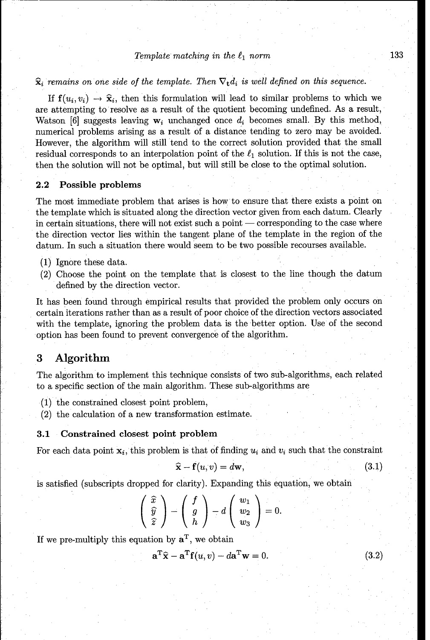#### $Template$  matching in the  $\ell_1$  norm 133

## $\hat{\mathbf{x}}_i$  remains on one side of the template. Then  $\nabla_{\mathbf{t}}d_i$  is well defined on this sequence.

If  $f(u_i, v_i) \rightarrow \hat{x}_i$ , then this formulation will lead to similar problems to which we are attempting to resolve as a result of the quotient becoming undefined. As a result, Watson [6] suggests leaving  $w_i$  unchanged once  $d_i$  becomes small. By this method, numerical problems arising as a result of a distance tending to zero may be avoided. However, the algorithm will still tend to the correct solution provided that the small residual corresponds to an interpolation point of the  $\ell_1$  solution. If this is not the case, then the solution will not be optimal, but will still be close to the optimal solution.

#### 2.2 Possible problems

The most immediate problem that arises is how to ensure that there exists a point on the template which is situated along the direction vector given from each datum. Clearly in certain situations, there will not exist such a point **-** corresponding to the case where the direction vector lies within the tangent plane of the template in the region of the datum. In such a situation there would seem to be two possible recourses available.

- (1) Ignore these data.
- (2) Choose the point on the template that is closest to the line though the datum defined by the direction vector.

It has been found through empirical results that provided the problem only occurs on certain iterations rather than as a result of poor choice of the direction vectors associated with the template, ignoring the problem data is the better option. Use of the second option has been found to prevent convergence of the algorithm.

## **3** Algorithm

The algorithm to implement this technique consists of two sub-algorithms, each related to a specific section of the main algorithm. These sub-algorithms are

- (1) the constrained closest point problem,
- (2) the calculation of a new transformation estimate.

#### **3.1** Constrained closest point problem

For each data point  $x_i$ , this problem is that of finding  $u_i$  and  $v_i$  such that the constraint

$$
\hat{\mathbf{x}} - \mathbf{f}(u, v) = d\mathbf{w},\tag{3.1}
$$

is satisfied (subscripts dropped for clarity). Expanding this equation, we obtain

$$
\left(\begin{array}{c}\widehat{x}\\\widehat{y}\\\widehat{z}\end{array}\right)-\left(\begin{array}{c}f\\g\\h\end{array}\right)-d\left(\begin{array}{c}w_1\\w_2\\w_3\end{array}\right)=0.
$$

If we pre-multiply this equation by  $a^T$ , we obtain

$$
\mathbf{a}^{\mathrm{T}}\hat{\mathbf{x}} - \mathbf{a}^{\mathrm{T}}\mathbf{f}(u, v) - d\mathbf{a}^{\mathrm{T}}\mathbf{w} = 0.
$$
 (3.2)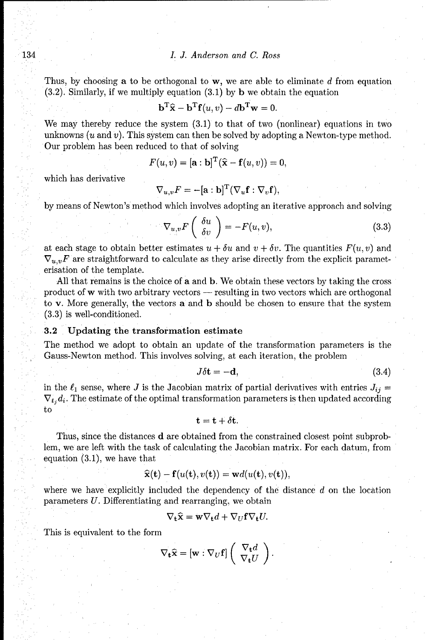#### 134 *L J. Anderson and C. Ross*

Thus, by choosing a to be orthogonal to  $w$ , we are able to eliminate d from equation  $(3.2)$ . Similarly, if we multiply equation  $(3.1)$  by **b** we obtain the equation

$$
\mathbf{b}^{\mathrm{T}}\hat{\mathbf{x}} - \mathbf{b}^{\mathrm{T}}\mathbf{f}(u, v) - d\mathbf{b}^{\mathrm{T}}\mathbf{w} = 0.
$$

We may thereby reduce the system (3.1) to that of two (nonlinear) equations in two unknowns  $(u \text{ and } v)$ . This system can then be solved by adopting a Newton-type method. Our problem has been reduced to that of solving

$$
F(u, v) = [\mathbf{a} : \mathbf{b}]^{\mathrm{T}}(\widehat{\mathbf{x}} - \mathbf{f}(u, v)) = 0,
$$

which has derivative

$$
\nabla_{u,v} F = -[\mathbf{a} : \mathbf{b}]^{\mathrm{T}} (\nabla_u \mathbf{f} : \nabla_v \mathbf{f}),
$$

by means of Newton's method which involves adopting an iterative approach and solving

$$
\nabla_{u,v} F\left(\begin{array}{c} \delta u \\ \delta v \end{array}\right) = -F(u,v),\tag{3.3}
$$

at each stage to obtain better estimates  $u + \delta u$  and  $v + \delta v$ . The quantities  $F(u, v)$  and  $\nabla_{u,v}F$  are straightforward to calculate as they arise directly from the explicit parameterisation of the template.

All that remains is the choice of a and b. We obtain these vectors by taking the cross product of w with two arbitrary vectors resulting in two vectors which are orthogonal to v. More generally, the vectors a and b should be chosen to ensure that the system (3.3) is well-conditioned.

#### 3.2 Updating the transformation estimate

The method we adopt to obtain an update of the transformation parameters is the Gauss-Newton method. This involves solving, at each iteration, the problem

$$
J\delta t = -d,\t\t(3.4)
$$

in the  $\ell_1$  sense, where J is the Jacobian matrix of partial derivatives with entries  $J_{ij} =$  $\nabla_{t_i} d_i$ . The estimate of the optimal transformation parameters is then updated according to

$$
\mathbf{t} = \mathbf{t} + \delta \mathbf{t}.
$$

Thus, since the distances d are obtained from the constrained closest point subproblem, we are left with the task of calculating the Jacobian matrix. For each datum, from equation (3.1), we have that

$$
\widehat{\mathbf{x}}(\mathbf{t}) - \mathbf{f}(u(\mathbf{t}), v(\mathbf{t})) = \mathbf{w}d(u(\mathbf{t}), v(\mathbf{t})),
$$

where we have explicitly included the dependency of the distance  $d$  on the location parameters U. Differentiating and rearranging, we obtain

$$
\nabla_{\mathbf{t}} \widehat{\mathbf{x}} = \mathbf{w} \nabla_{\mathbf{t}} d + \nabla_{U} \mathbf{f} \nabla_{\mathbf{t}} U.
$$

This is equivalent to the form

$$
\nabla_{\mathbf{t}} \widehat{\mathbf{x}} = [\mathbf{w} : \nabla_U \mathbf{f}] \left( \begin{array}{c} \nabla_{\mathbf{t}} d \\ \nabla_{\mathbf{t}} U \end{array} \right).
$$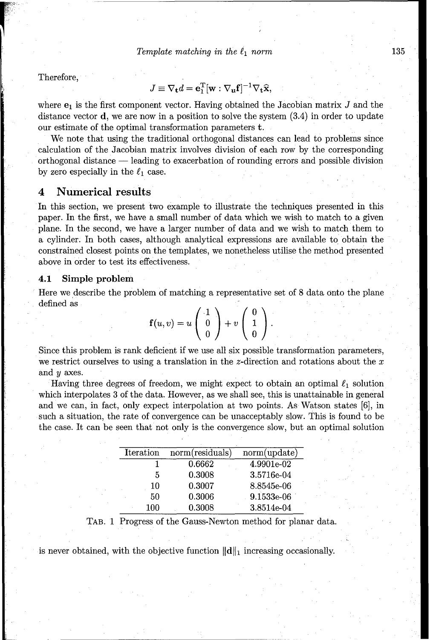Therefore,

$$
J \equiv \nabla_{\mathbf{t}} d = \mathbf{e}_{1}^{\mathrm{T}} [\mathbf{w} : \nabla_{\mathbf{u}} \mathbf{f}]^{-1} \nabla_{\mathbf{t}} \hat{\mathbf{x}},
$$

where  $e_1$  is the first component vector. Having obtained the Jacobian matrix  $J$  and the distance vector  $\bf d$ , we are now in a position to solve the system  $(3.4)$  in order to update our estimate of the optimal transformation parameters t.

We note that using the traditional orthogonal distances can lead to problems since calculation of the Jacobian matrix involves division of each row by the corresponding orthogonal distance  $-$  leading to exacerbation of rounding errors and possible division by zero especially in the  $\ell_1$  case.

### 4 Numerical results

In this section, we present two example to illustrate the techniques presented in this paper. In the first, we have a small number of data which we wish to match to a given plane. In the second, we have a larger number of data and we wish to match them to a cylinder. In both cases, although analytical expressions are available to obtain the constrained closest points on the templates, we nonetheless utilise the method presented above in order to test its effectiveness.

## 4.1 Simple problem

Here we describe the problem of matching a representative set of 8 data onto the plane defined as

$$
\mathbf{f}(u,v) = u \left( \begin{array}{c} 1 \\ 0 \\ 0 \end{array} \right) + v \left( \begin{array}{c} 0 \\ 1 \\ 0 \end{array} \right).
$$

Since this problem is rank deficient if we use all six possible transformation parameters, we restrict ourselves to using a translation in the z-direction and rotations about the  $x$ and  $y$  axes.

Having three degrees of freedom, we might expect to obtain an optimal  $\ell_1$  solution which interpolates 3 of the data. However, as we shall see, this is unattainable in general and we can, in fact, only expect interpolation at two points. As Watson states [6], in such a situation, the rate of convergence can be unacceptably slow. This is found to be the case. It can be seen that not only is the convergence slow, but an optimal solution

| Iteration | norm(residuals) | norm(update) |
|-----------|-----------------|--------------|
|           | 0.6662          | 4.9901e-02   |
| 5         | 0.3008          | 3.5716e-04   |
| 10        | 0.3007          | 8.8545e-06   |
| 50        | 0.3006          | 9.1533e-06   |
| 100       | 0.3008          | 3.8514e-04   |

TAB. 1 Progress of the Gauss-Newton method for planar data.

is never obtained, with the objective function  $\|\mathbf{d}\|_1$  increasing occasionally.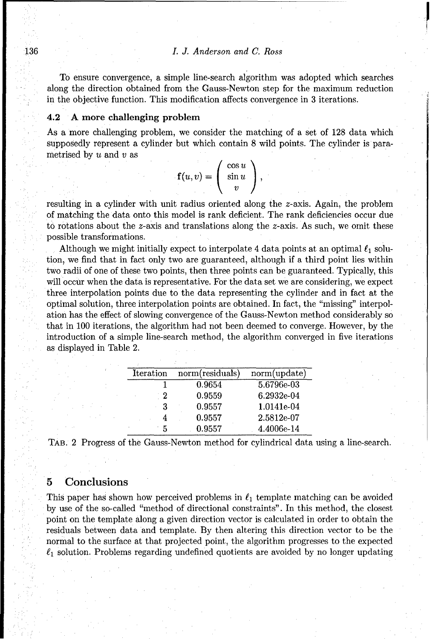#### 136 *L J. Anderson and C. Ross*

To ensure convergence, a simple line-search algorithm was adopted which searches along the direction obtained from the Gauss-Newton step for the maximum reduction in the objective function. This modification affects convergence in 3 iterations.

#### 4.2 A more challenging problem

As a more challenging problem, we consider the matching of a set of 128 data which supposedly represent a cylinder but which contain 8 wild points. The cylinder is para-<br>metrised by u and v as  $f(x, y) = \begin{pmatrix} \cos u \\ \sin u \end{pmatrix}$ 

|            | $\cos u$ |  |
|------------|----------|--|
| $f(u,v) =$ | $\sin u$ |  |
|            | 91       |  |

resulting in a cylinder with unit radius oriented along the z-axis. Again, the problem of matching the data onto this model is rank deficient. The rank deficiencies occur due to rotations about the z-axis and translations along the z-axis. As such, we omit these possible transformations.

Although we might initially expect to interpolate 4 data points at an optimal  $\ell_1$  solution, we find that in fact only two are guaranteed, although if a third point lies within two radii of one of these two points, then three points can be guaranteed. Typically, this will occur when the data is representative. For the data set we are considering, we expect three interpolation points due to the data representing the cylinder and in fact at the optimal solution, three interpolation points are obtained. In fact, the "missing" interpolation has the effect of slowing convergence of the Gauss-Newton method considerably so that in 100 iterations, the algorithm had not been deemed to converge. However, by the introduction of a simple line-search method, the algorithm converged in five iterations as displayed in Table 2.

| Iteration | norm(residuals) | norm(update) |
|-----------|-----------------|--------------|
|           | 0.9654          | $5.6796e-03$ |
| - 2       | 0.9559          | 6.2932e-04   |
| З         | 0.9557          | 1.0141e-04   |
|           | 0.9557          | 2.5812e-07   |
| 5         | 0.9557          | 4.4006e-14   |

| TAB. 2 Progress of the Gauss-Newton method for cylindrical data using a line-search. |  |  |  |
|--------------------------------------------------------------------------------------|--|--|--|
|--------------------------------------------------------------------------------------|--|--|--|

## **5** Conclusions

This paper has shown how perceived problems in  $\ell_1$  template matching can be avoided by use of the so-called "method of directional constraints". In this method, the closest point on the template along a given direction vector is calculated in order to obtain the residuals between data and template. By then altering this direction vector to be the normal to the surface at that projected point, the algorithm progresses to the expected  $\ell_1$  solution. Problems regarding undefined quotients are avoided by no longer updating